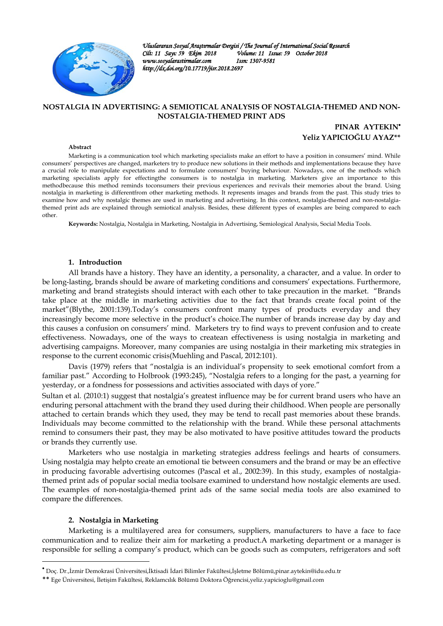

*Uluslararası Sosyal Araştırmalar Dergisi / The Journal of International Social Research Volume: 11 Issue: 59 October 2018*<br>*Issn: 1307-9581 www.sosyalarastirmalar.com Issn: 1307-9581 http://dx.doi.org/10.17719/jisr.2018.2697* 

## **NOSTALGIA IN ADVERTISING: A SEMIOTICAL ANALYSIS OF NOSTALGIA-THEMED AND NON-NOSTALGIA-THEMED PRINT ADS**

**PINAR AYTEKIN Yeliz YAPICIOĞLU AYAZ\*\***

#### **Abstract**

Marketing is a communication tool which marketing specialists make an effort to have a position in consumers' mind. While consumers' perspectives are changed, marketers try to produce new solutions in their methods and implementations because they have a crucial role to manipulate expectations and to formulate consumers' buying behaviour. Nowadays, one of the methods which marketing specialists apply for effectingthe consumers is to nostalgia in marketing. Marketers give an importance to this methodbecause this method reminds toconsumers their previous experiences and revivals their memories about the brand. Using nostalgia in marketing is differentfrom other marketing methods. It represents images and brands from the past. This study tries to examine how and why nostalgic themes are used in marketing and advertising. In this context, nostalgia-themed and non-nostalgiathemed print ads are explained through semiotical analysis. Besides, these different types of examples are being compared to each other.

**Keywords:** Nostalgia, Nostalgia in Marketing, Nostalgia in Advertising, Semiological Analysis, Social Media Tools.

### **1. Introduction**

All brands have a history. They have an identity, a personality, a character, and a value. In order to be long-lasting, brands should be aware of marketing conditions and consumers' expectations. Furthermore, marketing and brand strategists should interact with each other to take precaution in the market. "Brands take place at the middle in marketing activities due to the fact that brands create focal point of the market"(Blythe, 2001:139).Today's consumers confront many types of products everyday and they increasingly become more selective in the product's choice.The number of brands increase day by day and this causes a confusion on consumers' mind. Marketers try to find ways to prevent confusion and to create effectiveness. Nowadays, one of the ways to createan effectiveness is using nostalgia in marketing and advertising campaigns. Moreover, many companies are using nostalgia in their marketing mix strategies in response to the current economic crisis(Muehling and Pascal, 2012:101).

 Davis (1979) refers that "nostalgia is an individual's propensity to seek emotional comfort from a familiar past." According to Holbrook (1993:245), "Nostalgia refers to a longing for the past, a yearning for yesterday, or a fondness for possessions and activities associated with days of yore."

Sultan et al. (2010:1) suggest that nostalgia's greatest influence may be for current brand users who have an enduring personal attachment with the brand they used during their childhood. When people are personally attached to certain brands which they used, they may be tend to recall past memories about these brands. Individuals may become committed to the relationship with the brand. While these personal attachments remind to consumers their past, they may be also motivated to have positive attitudes toward the products or brands they currently use.

Marketers who use nostalgia in marketing strategies address feelings and hearts of consumers. Using nostalgia may helpto create an emotional tie between consumers and the brand or may be an effective in producing favorable advertising outcomes (Pascal et al., 2002:39). In this study, examples of nostalgiathemed print ads of popular social media toolsare examined to understand how nostalgic elements are used. The examples of non-nostalgia-themed print ads of the same social media tools are also examined to compare the differences.

### **2. Nostalgia in Marketing**

 $\overline{\phantom{a}}$ 

Marketing is a multilayered area for consumers, suppliers, manufacturers to have a face to face communication and to realize their aim for marketing a product.A marketing department or a manager is responsible for selling a company's product, which can be goods such as computers, refrigerators and soft

Doç. Dr.,İzmir Demokrasi Üniversitesi,İktisadi İdari Bilimler Fakültesi,İşletme Bölümü,pinar.aytekin@idu.edu.tr

<sup>\*\*</sup> Ege Üniversitesi, İletişim Fakültesi, Reklamcılık Bölümü Doktora Öğrencisi,yeliz.yapicioglu@gmail.com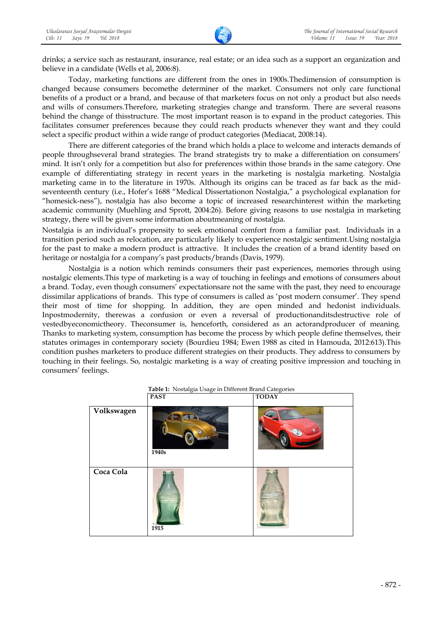drinks; a service such as restaurant, insurance, real estate; or an idea such as a support an organization and believe in a candidate (Wells et al, 2006:8).

Today, marketing functions are different from the ones in 1900s.Thedimension of consumption is changed because consumers becomethe determiner of the market. Consumers not only care functional benefits of a product or a brand, and because of that marketers focus on not only a product but also needs and wills of consumers.Therefore, marketing strategies change and transform. There are several reasons behind the change of thisstructure. The most important reason is to expand in the product categories. This facilitates consumer preferences because they could reach products whenever they want and they could select a specific product within a wide range of product categories (Mediacat, 2008:14).

 There are different categories of the brand which holds a place to welcome and interacts demands of people throughseveral brand strategies. The brand strategists try to make a differentiation on consumers' mind. It isn't only for a competition but also for preferences within those brands in the same category. One example of differentiating strategy in recent years in the marketing is nostalgia marketing. Nostalgia marketing came in to the literature in 1970s. Although its origins can be traced as far back as the midseventeenth century (i.e., Hofer's 1688 "Medical Dissertationon Nostalgia," a psychological explanation for "homesick-ness"), nostalgia has also become a topic of increased researchinterest within the marketing academic community (Muehling and Sprott, 2004:26). Before giving reasons to use nostalgia in marketing strategy, there will be given some information aboutmeaning of nostalgia.

Nostalgia is an individual's propensity to seek emotional comfort from a familiar past. Individuals in a transition period such as relocation, are particularly likely to experience nostalgic sentiment.Using nostalgia for the past to make a modern product is attractive. It includes the creation of a brand identity based on heritage or nostalgia for a company's past products/brands (Davis, 1979).

Nostalgia is a notion which reminds consumers their past experiences, memories through using nostalgic elements.This type of marketing is a way of touching in feelings and emotions of consumers about a brand. Today, even though consumers' expectationsare not the same with the past, they need to encourage dissimilar applications of brands. This type of consumers is called as 'post modern consumer'. They spend their most of time for shopping. In addition, they are open minded and hedonist individuals. Inpostmodernity, therewas a confusion or even a reversal of productionanditsdestructive role of vestedbyeconomictheory. Theconsumer is, henceforth, considered as an actorandproducer of meaning. Thanks to marketing system, consumption has become the process by which people define themselves, their statutes orimages in contemporary society (Bourdieu 1984; Ewen 1988 as cited in Hamouda, 2012:613).This condition pushes marketers to produce different strategies on their products. They address to consumers by touching in their feelings. So, nostalgic marketing is a way of creating positive impression and touching in consumers' feelings.

|            | <b>Table 1.</b> INOStalgia Usage in Different brand Categories |              |  |  |  |
|------------|----------------------------------------------------------------|--------------|--|--|--|
|            | <b>PAST</b>                                                    | <b>TODAY</b> |  |  |  |
| Volkswagen | 1940s                                                          |              |  |  |  |
| Coca Cola  | 1915                                                           |              |  |  |  |

|  | Table 1: Nostalgia Usage in Different Brand Categories |  |
|--|--------------------------------------------------------|--|
|  |                                                        |  |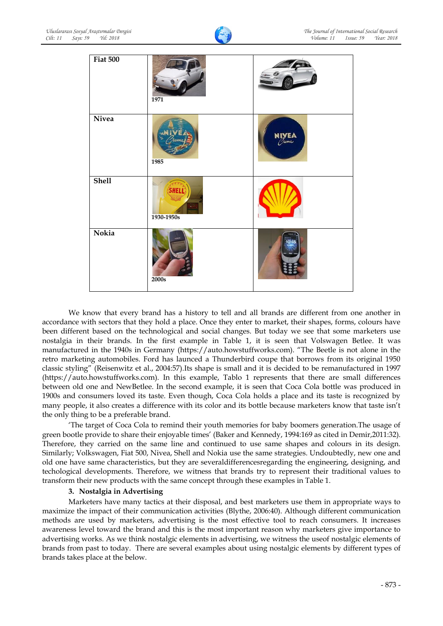



We know that every brand has a history to tell and all brands are different from one another in accordance with sectors that they hold a place. Once they enter to market, their shapes, forms, colours have been different based on the technological and social changes. But today we see that some marketers use nostalgia in their brands. In the first example in Table 1, it is seen that Volswagen Betlee. It was manufactured in the 1940s in Germany (https://auto.howstuffworks.com). "The Beetle is not alone in the retro marketing automobiles. Ford has launced a Thunderbird coupe that borrows from its original 1950 classic styling" (Reisenwitz et al., 2004:57).Its shape is small and it is decided to be remanufactured in 1997 (https://auto.howstuffworks.com). In this example, Tablo 1 represents that there are small differences between old one and NewBetlee. In the second example, it is seen that Coca Cola bottle was produced in 1900s and consumers loved its taste. Even though, Coca Cola holds a place and its taste is recognized by many people, it also creates a difference with its color and its bottle because marketers know that taste isn't the only thing to be a preferable brand.

'The target of Coca Cola to remind their youth memories for baby boomers generation.The usage of green bootle provide to share their enjoyable times' (Baker and Kennedy, 1994:169 as cited in Demir,2011:32). Therefore, they carried on the same line and continued to use same shapes and colours in its design. Similarly; Volkswagen, Fiat 500, Nivea, Shell and Nokia use the same strategies. Undoubtedly, new one and old one have same characteristics, but they are severaldifferencesregarding the engineering, designing, and techological developments. Therefore, we witness that brands try to represent their traditional values to transform their new products with the same concept through these examples in Table 1.

## **3. Nostalgia in Advertising**

Marketers have many tactics at their disposal, and best marketers use them in appropriate ways to maximize the impact of their communication activities (Blythe, 2006:40). Although different communication methods are used by marketers, advertising is the most effective tool to reach consumers. It increases awareness level toward the brand and this is the most important reason why marketers give importance to advertising works. As we think nostalgic elements in advertising, we witness the useof nostalgic elements of brands from past to today. There are several examples about using nostalgic elements by different types of brands takes place at the below.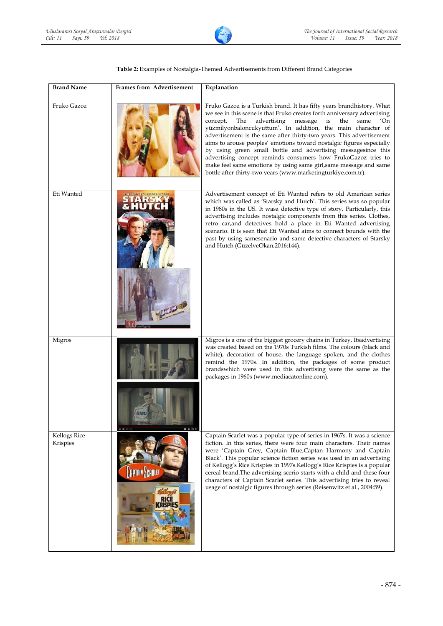

## **Table 2:** Examples of Nostalgia-Themed Advertisements from Different Brand Categories

| <b>Brand Name</b>               | Frames from Advertisement                                                                           | Explanation                                                                                                                                                                                                                                                                                                                                                                                                                                                                                                                                                                                                                                                                                                       |
|---------------------------------|-----------------------------------------------------------------------------------------------------|-------------------------------------------------------------------------------------------------------------------------------------------------------------------------------------------------------------------------------------------------------------------------------------------------------------------------------------------------------------------------------------------------------------------------------------------------------------------------------------------------------------------------------------------------------------------------------------------------------------------------------------------------------------------------------------------------------------------|
| Fruko Gazoz                     |                                                                                                     | Fruko Gazoz is a Turkish brand. It has fifty years brandhistory. What<br>we see in this scene is that Fruko creates forth anniversary advertising<br>same<br>concept.<br>The<br>advertising<br>message<br>is<br>the<br>'On<br>yüzmilyonbaloncukyuttum'. In addition, the main character of<br>advertisement is the same after thirty-two years. This advertisement<br>aims to arouse peoples' emotions toward nostalgic figures especially<br>by using green small bottle and advertising messagesince this<br>advertising concept reminds consumers how FrukoGazoz tries to<br>make feel same emotions by using same girl, same message and same<br>bottle after thirty-two years (www.marketingturkiye.com.tr). |
| Eti Wanted                      |                                                                                                     | Advertisement concept of Eti Wanted refers to old American series<br>which was called as 'Starsky and Hutch'. This series was so popular<br>in 1980s in the US. It wasa detective type of story. Particularly, this<br>advertising includes nostalgic components from this series. Clothes,<br>retro car, and detectives hold a place in Eti Wanted advertising<br>scenario. It is seen that Eti Wanted aims to connect bounds with the<br>past by using samesenario and same detective characters of Starsky<br>and Hutch (GüzelveOkan,2016:144).                                                                                                                                                                |
| Migros                          | $\blacksquare$ $\lozenge$ $\blacksquare$ $\square$<br>$H = \bigoplus_{n \in \mathbb{N}} \mathbb{R}$ | Migros is a one of the biggest grocery chains in Turkey. Itsadvertising<br>was created based on the 1970s Turkish films. The colours (black and<br>white), decoration of house, the language spoken, and the clothes<br>remind the 1970s. In addition, the packages of some product<br>brandswhich were used in this advertising were the same as the<br>packages in 1960s (www.mediacatonline.com).                                                                                                                                                                                                                                                                                                              |
| <b>Kellogs Rice</b><br>Krispies | <b>APTAIN SCARLE</b><br>RISPIE                                                                      | Captain Scarlet was a popular type of series in 1967s. It was a science<br>fiction. In this series, there were four main characters. Their names<br>were 'Captain Grey, Captain Blue,Captan Harmony and Captain<br>Black'. This popular science fiction series was used in an advertising<br>of Kellogg's Rice Krispies in 1997s. Kellogg's Rice Krispies is a popular<br>cereal brand. The advertising scerio starts with a child and these four<br>characters of Captain Scarlet series. This advertising tries to reveal<br>usage of nostalgic figures through series (Reisenwitz et al., 2004:59).                                                                                                            |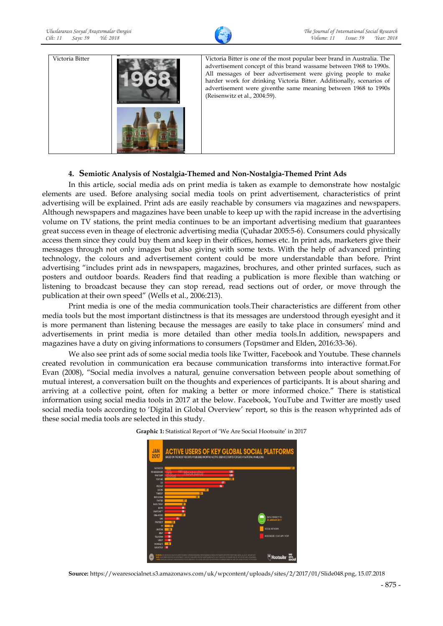



# **4. Semiotic Analysis of Nostalgia-Themed and Non-Nostalgia-Themed Print Ads**

In this article, social media ads on print media is taken as example to demonstrate how nostalgic elements are used. Before analysing social media tools on print advertisement, characteristics of print advertising will be explained. Print ads are easily reachable by consumers via magazines and newspapers. Although newspapers and magazines have been unable to keep up with the rapid increase in the advertising volume on TV stations, the print media continues to be an important advertising medium that guarantees great success even in theage of electronic advertising media (Çuhadar 2005:5-6). Consumers could physically access them since they could buy them and keep in their offices, homes etc. In print ads, marketers give their messages through not only images but also giving with some texts. With the help of advanced printing technology, the colours and advertisement content could be more understandable than before. Print advertising "includes print ads in newspapers, magazines, brochures, and other printed surfaces, such as posters and outdoor boards. Readers find that reading a publication is more flexible than watching or listening to broadcast because they can stop reread, read sections out of order, or move through the publication at their own speed" (Wells et al., 2006:213).

Print media is one of the media communication tools.Their characteristics are different from other media tools but the most important distinctness is that its messages are understood through eyesight and it is more permanent than listening because the messages are easily to take place in consumers' mind and advertisements in print media is more detailed than other media tools.In addition, newspapers and magazines have a duty on giving informations to consumers (Topsümer and Elden, 2016:33-36).

We also see print ads of some social media tools like Twitter, Facebook and Youtube. These channels created revolution in communication era because communication transforms into interactive format.For Evan (2008), "Social media involves a natural, genuine conversation between people about something of mutual interest, a conversation built on the thoughts and experiences of participants. It is about sharing and arriving at a collective point, often for making a better or more informed choice." There is statistical information using social media tools in 2017 at the below. Facebook, YouTube and Twitter are mostly used social media tools according to 'Digital in Global Overview' report, so this is the reason whyprinted ads of these social media tools are selected in this study.





**Source:** https://wearesocialnet.s3.amazonaws.com/uk/wpcontent/uploads/sites/2/2017/01/Slide048.png, 15.07.2018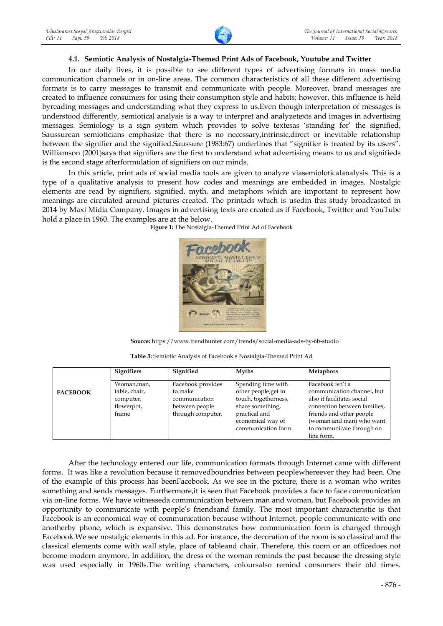# **4.1. Semiotic Analysis of Nostalgia-Themed Print Ads of Facebook, Youtube and Twitter**

In our daily lives, it is possible to see different types of advertising formats in mass media communication channels or in on-line areas. The common characteristics of all these different advertising formats is to carry messages to transmit and communicate with people. Moreover, brand messages are created to influence consumers for using their consumption style and habits; however, this influence is held byreading messages and understanding what they express to us.Even though interpretation of messages is understood differently, semiotical analysis is a way to interpret and analyzetexts and images in advertising messages. Semiology is a sign system which provides to solve textesas 'standing for' the signified, Saussurean semioticians emphasize that there is no necessary,intrinsic,direct or inevitable relationship between the signifier and the signified.Saussure (1983:67) underlines that "signifier is treated by its users". Williamson (2001)says that signifiers are the first to understand what advertising means to us and signifieds is the second stage afterformulation of signifiers on our minds.

In this article, print ads of social media tools are given to analyze viasemioloticalanalysis. This is a type of a qualitative analysis to present how codes and meanings are embedded in images. Nostalgic elements are read by signifiers, signified, myth, and metaphors which are important to represent how meanings are circulated around pictures created. The printads which is usedin this study broadcasted in 2014 by Maxi Midia Company. Images in advertising texts are created as if Facebook, Twittter and YouTube hold a place in 1960. The examples are at the below.

**Figure 1:** The Nostalgia-Themed Print Ad of Facebook



**Source:** https://www.trendhunter.com/trends/social-media-ads-by-6b-studio

|                 | <b>Signifiers</b>                                                | Signified                                                                            | <b>Myths</b>                                                                                                                                       | <b>Metaphors</b>                                                                                                                                                                                                |
|-----------------|------------------------------------------------------------------|--------------------------------------------------------------------------------------|----------------------------------------------------------------------------------------------------------------------------------------------------|-----------------------------------------------------------------------------------------------------------------------------------------------------------------------------------------------------------------|
| <b>FACEBOOK</b> | Woman, man,<br>table, chair,<br>computer,<br>flowerpot,<br>frame | Facebook provides<br>to make<br>communication<br>between people<br>through computer. | Spending time with<br>other people, get in<br>touch, togetherness,<br>share something,<br>practical and<br>economical way of<br>communication form | Facebook isn't a<br>communication channel, but<br>also it facilitates social<br>connection between families,<br>friends and other people<br>(woman and man) who want<br>to communicate through on<br>line form. |

After the technology entered our life, communication formats through Internet came with different forms. It was like a revolution because it removedboundries between peoplewhereever they had been. One of the example of this process has beenFacebook. As we see in the picture, there is a woman who writes something and sends messages. Furthermore,it is seen that Facebook provides a face to face communication via on-line forms. We have witnesseda communication between man and woman, but Facebook provides an opportunity to communicate with people's friendsand family. The most important characteristic is that Facebook is an economical way of communication because without Internet, people communicate with one anotherby phone, which is expansive. This demonstrates how communication form is changed through Facebook.We see nostalgic elements in this ad. For instance, the decoration of the room is so classical and the classical elements come with wall style, place of tableand chair. Therefore, this room or an officedoes not become modern anymore. In addition, the dress of the woman reminds the past because the dressing style was used especially in 1960s.The writing characters, coloursalso remind consumers their old times.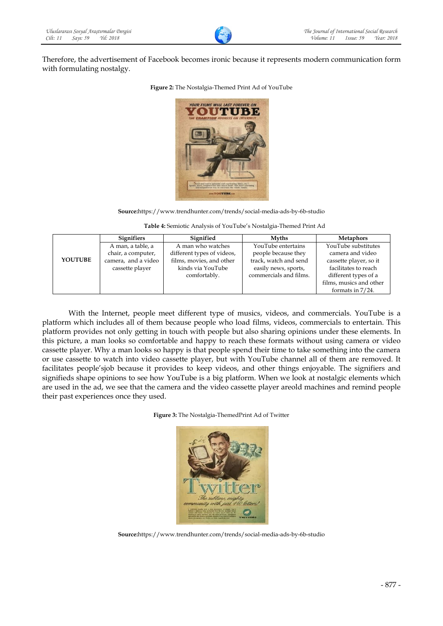Therefore, the advertisement of Facebook becomes ironic because it represents modern communication form with formulating nostalgy.



**Figure 2:** The Nostalgia-Themed Print Ad of YouTube

**Source:**https://www.trendhunter.com/trends/social-media-ads-by-6b-studio

**Table 4:** Semiotic Analysis of YouTube's Nostalgia-Themed Print Ad

|                | <b>Signifiers</b>   | Signified                  | <b>Myths</b>           | <b>Metaphors</b>        |
|----------------|---------------------|----------------------------|------------------------|-------------------------|
|                | A man, a table, a   | A man who watches          | YouTube entertains     | YouTube substitutes     |
|                | chair, a computer,  | different types of videos, | people because they    | camera and video        |
| <b>YOUTUBE</b> | camera, and a video | films, movies, and other   | track, watch and send  | cassette player, so it  |
|                | cassette player     | kinds via YouTube          | easily news, sports,   | facilitates to reach    |
|                |                     | comfortably.               | commercials and films. | different types of a    |
|                |                     |                            |                        | films, musics and other |
|                |                     |                            |                        | formats in $7/24$ .     |

With the Internet, people meet different type of musics, videos, and commercials. YouTube is a platform which includes all of them because people who load films, videos, commercials to entertain. This platform provides not only getting in touch with people but also sharing opinions under these elements. In this picture, a man looks so comfortable and happy to reach these formats without using camera or video cassette player. Why a man looks so happy is that people spend their time to take something into the camera or use cassette to watch into video cassette player, but with YouTube channel all of them are removed. It facilitates people'sjob because it provides to keep videos, and other things enjoyable. The signifiers and signifieds shape opinions to see how YouTube is a big platform. When we look at nostalgic elements which are used in the ad, we see that the camera and the video cassette player areold machines and remind people their past experiences once they used.

**Figure 3:** The Nostalgia-ThemedPrint Ad of Twitter



**Source:**https://www.trendhunter.com/trends/social-media-ads-by-6b-studio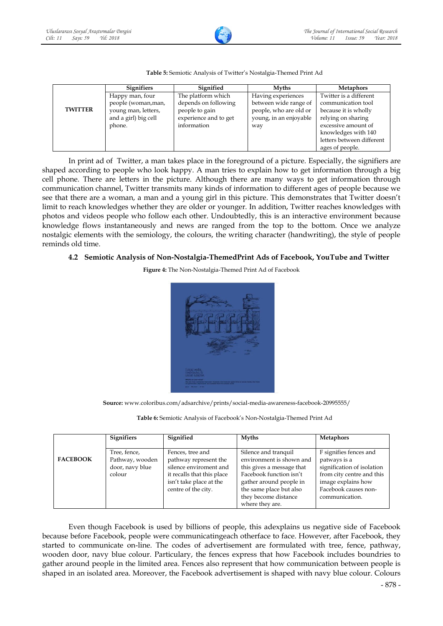

|                | <b>Signifiers</b>    | Signified             | <b>Myths</b>           | <b>Metaphors</b>          |
|----------------|----------------------|-----------------------|------------------------|---------------------------|
|                | Happy man, four      | The platform which    | Having experiences     | Twitter is a different    |
|                | people (woman, man,  | depends on following  | between wide range of  | communication tool        |
| <b>TWITTER</b> | young man, letters,  | people to gain        | people, who are old or | because it is wholly      |
|                | and a girl) big cell | experience and to get | young, in an enjoyable | relying on sharing        |
|                | phone.               | information           | way                    | excessive amount of       |
|                |                      |                       |                        | knowledges with 140       |
|                |                      |                       |                        | letters between different |
|                |                      |                       |                        | ages of people.           |

### **Table 5:** Semiotic Analysis of Twitter's Nostalgia-Themed Print Ad

In print ad of Twitter, a man takes place in the foreground of a picture. Especially, the signifiers are shaped according to people who look happy. A man tries to explain how to get information through a big cell phone. There are letters in the picture. Although there are many ways to get information through communication channel, Twitter transmits many kinds of information to different ages of people because we see that there are a woman, a man and a young girl in this picture. This demonstrates that Twitter doesn't limit to reach knowledges whether they are older or younger. In addition, Twitter reaches knowledges with photos and videos people who follow each other. Undoubtedly, this is an interactive environment because knowledge flows instantaneously and news are ranged from the top to the bottom. Once we analyze nostalgic elements with the semiology, the colours, the writing character (handwriting), the style of people reminds old time.

## **4.2 Semiotic Analysis of Non-Nostalgia-ThemedPrint Ads of Facebook, YouTube and Twitter**

**Figure 4:** The Non-Nostalgia-Themed Print Ad of Facebook



**Source:** www.coloribus.com/adsarchive/prints/social-media-awareness-facebook-20995555/

**Table 6:** Semiotic Analysis of Facebook's Non-Nostalgia-Themed Print Ad

|                 | <b>Signifiers</b>                                            | Signified                                                                                                                                           | <b>Myths</b>                                                                                                                                                                                              | <b>Metaphors</b>                                                                                                                                                  |
|-----------------|--------------------------------------------------------------|-----------------------------------------------------------------------------------------------------------------------------------------------------|-----------------------------------------------------------------------------------------------------------------------------------------------------------------------------------------------------------|-------------------------------------------------------------------------------------------------------------------------------------------------------------------|
| <b>FACEBOOK</b> | Tree, fence,<br>Pathway, wooden<br>door, navy blue<br>colour | Fences, tree and<br>pathway represent the<br>silence enviroment and<br>it recalls that this place<br>isn't take place at the<br>centre of the city. | Silence and tranquil<br>environment is shown and<br>this gives a message that<br>Facebook function isn't<br>gather around people in<br>the same place but also<br>they become distance<br>where they are. | F signifies fences and<br>patways is a<br>signification of isolation<br>from city centre and this<br>image explains how<br>Facebook causes non-<br>communication. |

Even though Facebook is used by billions of people, this adexplains us negative side of Facebook because before Facebook, people were communicatingeach otherface to face. However, after Facebook, they started to communicate on-line. The codes of advertisement are formulated with tree, fence, pathway, wooden door, navy blue colour. Particulary, the fences express that how Facebook includes boundries to gather around people in the limited area. Fences also represent that how communication between people is shaped in an isolated area. Moreover, the Facebook advertisement is shaped with navy blue colour. Colours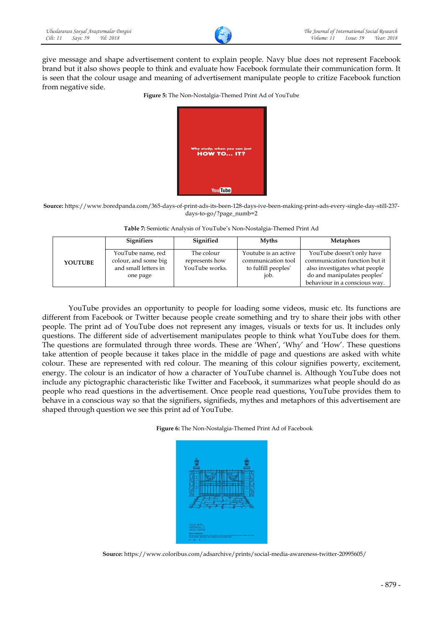give message and shape advertisement content to explain people. Navy blue does not represent Facebook brand but it also shows people to think and evaluate how Facebook formulate their communication form. It is seen that the colour usage and meaning of advertisement manipulate people to critize Facebook function from negative side.



**Source:** https://www.boredpanda.com/365-days-of-print-ads-its-been-128-days-ive-been-making-print-ads-every-single-day-still-237 days-to-go/?page\_numb=2

| Table 7: Semiotic Analysis of YouTube's Non-Nostalgia-Themed Print Ad |  |  |
|-----------------------------------------------------------------------|--|--|
|                                                                       |  |  |

|                | <b>Signifiers</b>                                                             | Signified                                      | <b>Myths</b>                                                              | <b>Metaphors</b>                                                                                                                                            |
|----------------|-------------------------------------------------------------------------------|------------------------------------------------|---------------------------------------------------------------------------|-------------------------------------------------------------------------------------------------------------------------------------------------------------|
| <b>YOUTUBE</b> | YouTube name, red<br>colour, and some big<br>and small letters in<br>one page | The colour<br>represents how<br>YouTube works. | Youtube is an active<br>communication tool<br>to fulfill peoples'<br>job. | YouTube doesn't only have<br>communication function but it<br>also investigates what people<br>do and manipulates peoples'<br>behaviour in a conscious way. |

YouTube provides an opportunity to people for loading some videos, music etc. Its functions are different from Facebook or Twitter because people create something and try to share their jobs with other people. The print ad of YouTube does not represent any images, visuals or texts for us. It includes only questions. The different side of advertisement manipulates people to think what YouTube does for them. The questions are formulated through three words. These are 'When', 'Why' and 'How'. These questions take attention of people because it takes place in the middle of page and questions are asked with white colour. These are represented with red colour. The meaning of this colour signifies powerty, excitement, energy. The colour is an indicator of how a character of YouTube channel is. Although YouTube does not include any pictographic characteristic like Twitter and Facebook, it summarizes what people should do as people who read questions in the advertisement. Once people read questions, YouTube provides them to behave in a conscious way so that the signifiers, signifieds, mythes and metaphors of this advertisement are shaped through question we see this print ad of YouTube.





**Source:** https://www.coloribus.com/adsarchive/prints/social-media-awareness-twitter-20995605/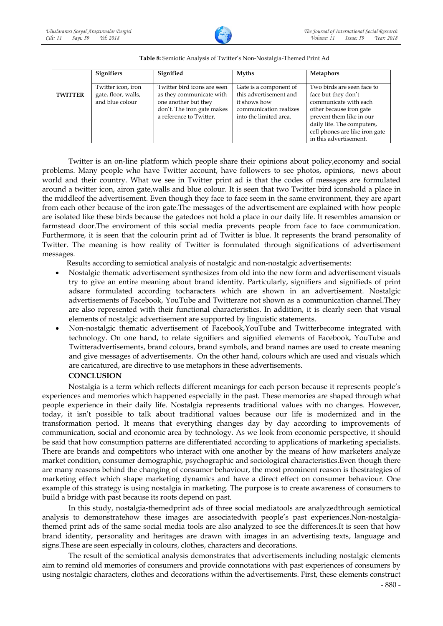

|                | <b>Signifiers</b>                                            | Signified                                                                                                                                | <b>Myths</b>                                                                                                         | <b>Metaphors</b>                                                                                                                                                                                                            |
|----------------|--------------------------------------------------------------|------------------------------------------------------------------------------------------------------------------------------------------|----------------------------------------------------------------------------------------------------------------------|-----------------------------------------------------------------------------------------------------------------------------------------------------------------------------------------------------------------------------|
| <b>TWITTER</b> | Twitter icon, iron<br>gate, floor, walls,<br>and blue colour | Twitter bird icons are seen<br>as they communicate with<br>one another but they<br>don't. The iron gate makes<br>a reference to Twitter. | Gate is a component of<br>this advertisement and<br>it shows how<br>communication realizes<br>into the limited area. | Two birds are seen face to<br>face but they don't<br>communicate with each<br>other because iron gate<br>prevent them like in our<br>daily life. The computers,<br>cell phones are like iron gate<br>in this advertisement. |

### **Table 8:** Semiotic Analysis of Twitter's Non-Nostalgia-Themed Print Ad

Twitter is an on-line platform which people share their opinions about policy,economy and social problems. Many people who have Twitter account, have followers to see photos, opinions, news about world and their country. What we see in Twitter print ad is that the codes of messages are formulated around a twitter icon, airon gate,walls and blue colour. It is seen that two Twitter bird iconshold a place in the middleof the advertisement. Even though they face to face seem in the same environment, they are apart from each other because of the iron gate.The messages of the advertisement are explained with how people are isolated like these birds because the gatedoes not hold a place in our daily life. It resembles amansion or farmstead door.The enviroment of this social media prevents people from face to face communication. Furthermore, it is seen that the colourin print ad of Twitter is blue. It represents the brand personality of Twitter. The meaning is how reality of Twitter is formulated through significations of advertisement messages.

Results according to semiotical analysis of nostalgic and non-nostalgic advertisements:

- Nostalgic thematic advertisement synthesizes from old into the new form and advertisement visuals try to give an entire meaning about brand identity. Particularly, signifiers and signifieds of print adsare formulated according tocharacters which are shown in an advertisement. Nostalgic advertisements of Facebook, YouTube and Twitterare not shown as a communication channel.They are also represented with their functional characteristics. In addition, it is clearly seen that visual elements of nostalgic advertisement are supported by linguistic statements.
- Non-nostalgic thematic advertisement of Facebook,YouTube and Twitterbecome integrated with technology. On one hand, to relate signifiers and signified elements of Facebook, YouTube and Twitteradvertisements, brand colours, brand symbols, and brand names are used to create meaning and give messages of advertisements. On the other hand, colours which are used and visuals which are caricatured, are directive to use metaphors in these advertisements.

## **CONCLUSION**

Nostalgia is a term which reflects different meanings for each person because it represents people's experiences and memories which happened especially in the past. These memories are shaped through what people experience in their daily life. Nostalgia represents traditional values with no changes. However, today, it isn't possible to talk about traditional values because our life is modernized and in the transformation period. It means that everything changes day by day according to improvements of communication, social and economic area by technology. As we look from economic perspective, it should be said that how consumption patterns are differentiated according to applications of marketing specialists. There are brands and competitors who interact with one another by the means of how marketers analyze market condition, consumer demographic, psychographic and sociological characteristics.Even though there are many reasons behind the changing of consumer behaviour, the most prominent reason is thestrategies of marketing effect which shape marketing dynamics and have a direct effect on consumer behaviour. One example of this strategy is using nostalgia in marketing. The purpose is to create awareness of consumers to build a bridge with past because its roots depend on past.

In this study, nostalgia-themedprint ads of three social mediatools are analyzedthrough semiotical analysis to demonstratehow these images are associatedwith people's past experiences.Non-nostalgiathemed print ads of the same social media tools are also analyzed to see the differences.It is seen that how brand identity, personality and heritages are drawn with images in an advertising texts, language and signs.These are seen especially in colours, clothes, characters and decorations.

The result of the semiotical analysis demonstrates that advertisements including nostalgic elements aim to remind old memories of consumers and provide connotations with past experiences of consumers by using nostalgic characters, clothes and decorations within the advertisements. First, these elements construct